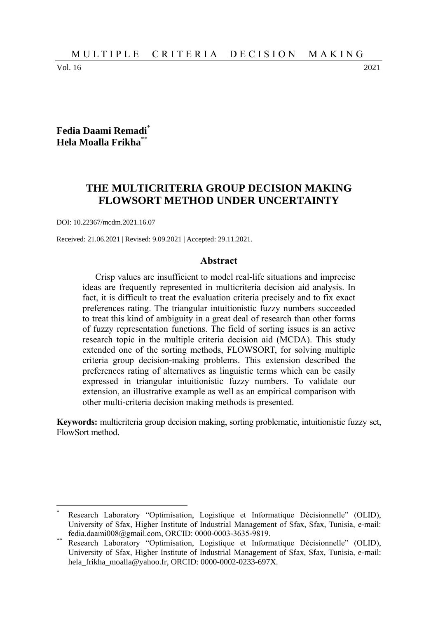Vol. 16 2021

 $\overline{a}$ 

### **Fedia Daami Remadi**\* **Hela Moalla Frikha**\*\*

# **THE MULTICRITERIA GROUP DECISION MAKING FLOWSORT METHOD UNDER UNCERTAINTY**

DOI: 10.22367/mcdm.2021.16.07

Received: 21.06.2021 | Revised: 9.09.2021 | Accepted: 29.11.2021.

#### **Abstract**

Crisp values are insufficient to model real-life situations and imprecise ideas are frequently represented in multicriteria decision aid analysis. In fact, it is difficult to treat the evaluation criteria precisely and to fix exact preferences rating. The triangular intuitionistic fuzzy numbers succeeded to treat this kind of ambiguity in a great deal of research than other forms of fuzzy representation functions. The field of sorting issues is an active research topic in the multiple criteria decision aid (MCDA). This study extended one of the sorting methods, FLOWSORT, for solving multiple criteria group decision-making problems. This extension described the preferences rating of alternatives as linguistic terms which can be easily expressed in triangular intuitionistic fuzzy numbers. To validate our extension, an illustrative example as well as an empirical comparison with other multi-criteria decision making methods is presented.

**Keywords:** multicriteria group decision making, sorting problematic, intuitionistic fuzzy set, FlowSort method.

Research Laboratory "Optimisation, Logistique et Informatique Décisionnelle" (OLID), University of Sfax, Higher Institute of Industrial Management of Sfax, Sfax, Tunisia, e-mail: fedia.daami008@gmail.com, ORCID: 0000-0003-3635-9819.

<sup>\*\*</sup> Research Laboratory "Optimisation, Logistique et Informatique Décisionnelle" (OLID), University of Sfax, Higher Institute of Industrial Management of Sfax, Sfax, Tunisia, e-mail: hela\_frikha\_moalla@yahoo.fr, ORCID: 0000-0002-0233-697X.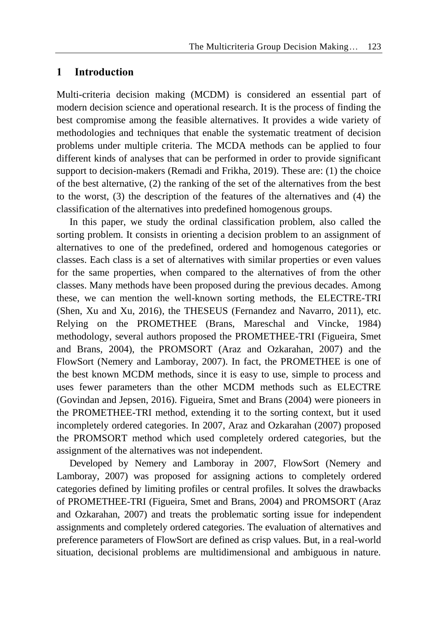# **1 Introduction**

Multi-criteria decision making (MCDM) is considered an essential part of modern decision science and operational research. It is the process of finding the best compromise among the feasible alternatives. It provides a wide variety of methodologies and techniques that enable the systematic treatment of decision problems under multiple criteria. The MCDA methods can be applied to four different kinds of analyses that can be performed in order to provide significant support to decision-makers (Remadi and Frikha, 2019). These are: (1) the choice of the best alternative, (2) the ranking of the set of the alternatives from the best to the worst, (3) the description of the features of the alternatives and (4) the classification of the alternatives into predefined homogenous groups.

In this paper, we study the ordinal classification problem, also called the sorting problem. It consists in orienting a decision problem to an assignment of alternatives to one of the predefined, ordered and homogenous categories or classes. Each class is a set of alternatives with similar properties or even values for the same properties, when compared to the alternatives of from the other classes. Many methods have been proposed during the previous decades. Among these, we can mention the well-known sorting methods, the ELECTRE-TRI (Shen, Xu and Xu, 2016), the THESEUS (Fernandez and Navarro, 2011), etc. Relying on the PROMETHEE (Brans, Mareschal and Vincke, 1984) methodology, several authors proposed the PROMETHEE-TRI (Figueira, Smet and Brans, 2004), the PROMSORT (Araz and Ozkarahan, 2007) and the FlowSort (Nemery and Lamboray, 2007). In fact, the PROMETHEE is one of the best known MCDM methods, since it is easy to use, simple to process and uses fewer parameters than the other MCDM methods such as ELECTRE (Govindan and Jepsen, 2016). Figueira, Smet and Brans (2004) were pioneers in the PROMETHEE-TRI method, extending it to the sorting context, but it used incompletely ordered categories. In 2007, Araz and Ozkarahan (2007) proposed the PROMSORT method which used completely ordered categories, but the assignment of the alternatives was not independent.

Developed by Nemery and Lamboray in 2007, FlowSort (Nemery and Lamboray, 2007) was proposed for assigning actions to completely ordered categories defined by limiting profiles or central profiles. It solves the drawbacks of PROMETHEE-TRI (Figueira, Smet and Brans, 2004) and PROMSORT (Araz and Ozkarahan, 2007) and treats the problematic sorting issue for independent assignments and completely ordered categories. The evaluation of alternatives and preference parameters of FlowSort are defined as crisp values. But, in a real-world situation, decisional problems are multidimensional and ambiguous in nature.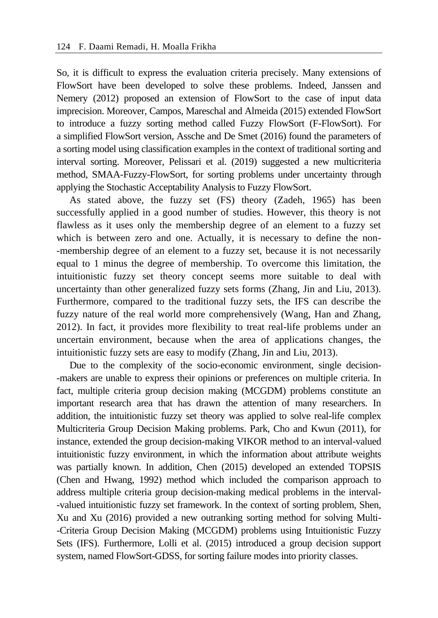So, it is difficult to express the evaluation criteria precisely. Many extensions of FlowSort have been developed to solve these problems. Indeed, Janssen and Nemery (2012) proposed an extension of FlowSort to the case of input data imprecision. Moreover, Campos, Mareschal and Almeida (2015) extended FlowSort to introduce a fuzzy sorting method called Fuzzy FlowSort (F-FlowSort). For a simplified FlowSort version, Assche and De Smet (2016) found the parameters of a sorting model using classification examples in the context of traditional sorting and interval sorting. Moreover, Pelissari et al. (2019) suggested a new multicriteria method, SMAA-Fuzzy-FlowSort, for sorting problems under uncertainty through applying the Stochastic Acceptability Analysis to Fuzzy FlowSort.

As stated above, the fuzzy set (FS) theory (Zadeh, 1965) has been successfully applied in a good number of studies. However, this theory is not flawless as it uses only the membership degree of an element to a fuzzy set which is between zero and one. Actually, it is necessary to define the non--membership degree of an element to a fuzzy set, because it is not necessarily equal to 1 minus the degree of membership. To overcome this limitation, the intuitionistic fuzzy set theory concept seems more suitable to deal with uncertainty than other generalized fuzzy sets forms (Zhang, Jin and Liu, 2013). Furthermore, compared to the traditional fuzzy sets, the IFS can describe the fuzzy nature of the real world more comprehensively (Wang, Han and Zhang, 2012). In fact, it provides more flexibility to treat real-life problems under an uncertain environment, because when the area of applications changes, the intuitionistic fuzzy sets are easy to modify (Zhang, Jin and Liu, 2013).

Due to the complexity of the socio-economic environment, single decision- -makers are unable to express their opinions or preferences on multiple criteria. In fact, multiple criteria group decision making (MCGDM) problems constitute an important research area that has drawn the attention of many researchers. In addition, the intuitionistic fuzzy set theory was applied to solve real-life complex Multicriteria Group Decision Making problems. Park, Cho and Kwun (2011), for instance, extended the group decision-making VIKOR method to an interval-valued intuitionistic fuzzy environment, in which the information about attribute weights was partially known. In addition, Chen (2015) developed an extended TOPSIS (Chen and Hwang, 1992) method which included the comparison approach to address multiple criteria group decision-making medical problems in the interval- -valued intuitionistic fuzzy set framework. In the context of sorting problem, Shen, Xu and Xu (2016) provided a new outranking sorting method for solving Multi- -Criteria Group Decision Making (MCGDM) problems using Intuitionistic Fuzzy Sets (IFS). Furthermore, Lolli et al. (2015) introduced a group decision support system, named FlowSort-GDSS, for sorting failure modes into priority classes.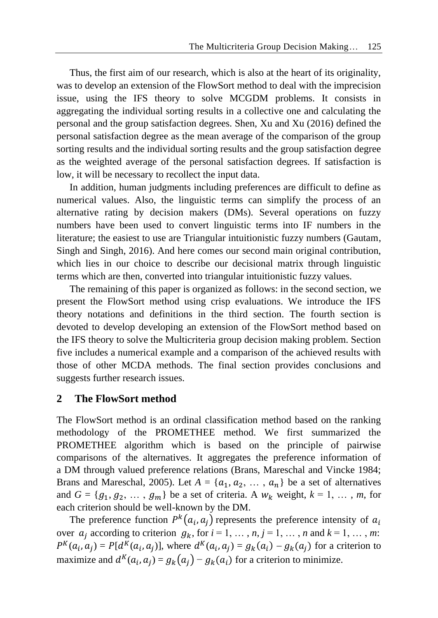Thus, the first aim of our research, which is also at the heart of its originality, was to develop an extension of the FlowSort method to deal with the imprecision issue, using the IFS theory to solve MCGDM problems. It consists in aggregating the individual sorting results in a collective one and calculating the personal and the group satisfaction degrees. Shen, Xu and Xu (2016) defined the personal satisfaction degree as the mean average of the comparison of the group sorting results and the individual sorting results and the group satisfaction degree as the weighted average of the personal satisfaction degrees. If satisfaction is low, it will be necessary to recollect the input data.

In addition, human judgments including preferences are difficult to define as numerical values. Also, the linguistic terms can simplify the process of an alternative rating by decision makers (DMs). Several operations on fuzzy numbers have been used to convert linguistic terms into IF numbers in the literature; the easiest to use are Triangular intuitionistic fuzzy numbers (Gautam, Singh and Singh, 2016). And here comes our second main original contribution, which lies in our choice to describe our decisional matrix through linguistic terms which are then, converted into triangular intuitionistic fuzzy values.

The remaining of this paper is organized as follows: in the second section, we present the FlowSort method using crisp evaluations. We introduce the IFS theory notations and definitions in the third section. The fourth section is devoted to develop developing an extension of the FlowSort method based on the IFS theory to solve the Multicriteria group decision making problem. Section five includes a numerical example and a comparison of the achieved results with those of other MCDA methods. The final section provides conclusions and suggests further research issues.

## **2 The FlowSort method**

The FlowSort method is an ordinal classification method based on the ranking methodology of the PROMETHEE method. We first summarized the PROMETHEE algorithm which is based on the principle of pairwise comparisons of the alternatives. It aggregates the preference information of a DM through valued preference relations (Brans, Mareschal and Vincke 1984; Brans and Mareschal, 2005). Let  $A = \{a_1, a_2, \ldots, a_n\}$  be a set of alternatives and  $G = \{g_1, g_2, \dots, g_m\}$  be a set of criteria. A  $w_k$  weight,  $k = 1, \dots, m$ , for each criterion should be well-known by the DM.

The preference function  $P^{k}(a_{i}, a_{j})$  represents the preference intensity of  $a_{i}$ over  $a_i$  according to criterion  $g_k$ , for  $i = 1, \ldots, n, j = 1, \ldots, n$  and  $k = 1, \ldots, m$ :  $P^K(a_i, a_j) = P[d^K(a_i, a_j)]$ , where  $d^K(a_i, a_j) = g_k(a_i) - g_k(a_j)$  for a criterion to maximize and  $d^{K}(a_{i}, a_{j}) = g_{k}(a_{j}) - g_{k}(a_{i})$  for a criterion to minimize.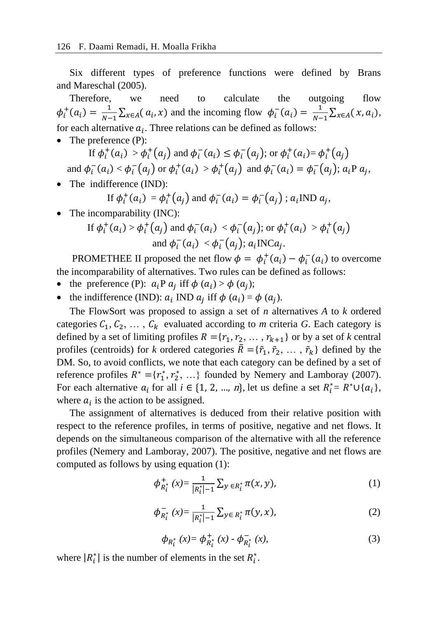Six different types of preference functions were defined by Brans and Mareschal (2005).

Therefore, we need to calculate the outgoing flow  $\phi_i^+(a_i) = \frac{1}{N-1}$  $\frac{1}{N-1} \sum_{x \in A} (a_i, x)$  and the incoming flow  $\phi_i^-(a_i) = \frac{1}{N-1}$  $\frac{1}{N-1}\sum_{x\in A}(x,a_i),$ for each alternative  $a_i$ . Three relations can be defined as follows:

• The preference (P):

If  $\phi_i^+(a_i) > \phi_i^+(a_j)$  and  $\phi_i^-(a_i) \leq \phi_i^-(a_j)$ ; or  $\phi_i^+(a_i) = \phi_i^+(a_j)$ and  $\phi_i^-(a_i) < \phi_i^-(a_j)$  or  $\phi_i^+(a_i) > \phi_i^+(a_j)$  and  $\phi_i^-(a_i) = \phi_i^-(a_j)$ ;  $a_i$ P  $a_j$ ,

• The indifference (IND):

If 
$$
\phi_i^+(a_i) = \phi_i^+(a_j)
$$
 and  $\phi_i^-(a_i) = \phi_i^-(a_j)$ ;  $a_i \text{IND } a_j$ ,

• The incomparability (INC):

If 
$$
\phi_i^+(a_i) > \phi_i^+(a_j)
$$
 and  $\phi_i^-(a_i) < \phi_i^-(a_j)$ ; or  $\phi_i^+(a_i) > \phi_i^+(a_j)$   
and  $\phi_i^-(a_i) < \phi_i^-(a_j)$ ;  $a_i \text{INC}a_j$ .

PROMETHEE II proposed the net flow  $\phi = \phi_i^+(a_i) - \phi_i^-(a_i)$  to overcome the incomparability of alternatives. Two rules can be defined as follows:

- the preference (P):  $a_i P a_j$  iff  $\phi (a_i) > \phi (a_j)$ ;
- the indifference (IND):  $a_i$  IND  $a_j$  iff  $\phi$  ( $a_i$ ) =  $\phi$  ( $a_j$ ).

The FlowSort was proposed to assign a set of *n* alternatives *A* to *k* ordered categories  $C_1, C_2, \ldots, C_k$  evaluated according to *m* criteria *G*. Each category is defined by a set of limiting profiles  $R = \{r_1, r_2, \dots, r_{k+1}\}\$  or by a set of *k* central profiles (centroids) for *k* ordered categories  $\tilde{R} = {\tilde{r}_1, \tilde{r}_2, ..., \tilde{r}_k}$  defined by the DM. So, to avoid conflicts, we note that each category can be defined by a set of reference profiles  $R^* = \{r_1^*, r_2^*, \ldots\}$  founded by Nemery and Lamboray (2007). For each alternative  $a_i$  for all  $i \in \{1, 2, ..., n\}$ , let us define a set  $R_i^* = R^* \cup \{a_i\}$ , where  $a_i$  is the action to be assigned.

The assignment of alternatives is deduced from their relative position with respect to the reference profiles, in terms of positive, negative and net flows. It depends on the simultaneous comparison of the alternative with all the reference profiles (Nemery and Lamboray, 2007). The positive, negative and net flows are computed as follows by using equation (1):

$$
\phi_{R_i^*}^+(x) = \frac{1}{|R_i^*| - 1} \sum_{y \in R_i^*} \pi(x, y), \tag{1}
$$

$$
\phi_{R_t^*}^-(x) = \frac{1}{|R_t^*| - 1} \sum_{y \in R_t^*} \pi(y, x), \tag{2}
$$

$$
\phi_{R_t^*}(x) = \phi_{R_t^*}^+(x) - \phi_{R_t^*}^-(x),\tag{3}
$$

where  $|R_i^*|$  is the number of elements in the set  $R_i^*$ .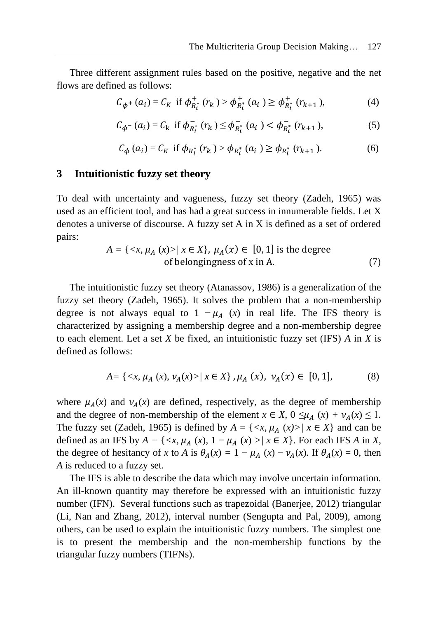Three different assignment rules based on the positive, negative and the net flows are defined as follows:

$$
C_{\phi^+}(a_i) = C_K \text{ if } \phi_{R_i^*}^+(r_k) > \phi_{R_i^*}^+(a_i) \ge \phi_{R_i^*}^+(r_{k+1}), \tag{4}
$$

$$
C_{\phi^{-}}(a_i) = C_{k} \text{ if } \phi_{R_i^*}^{-}(r_k) \le \phi_{R_i^*}^{-}(a_i) < \phi_{R_i^*}^{-}(r_{k+1}), \tag{5}
$$

$$
C_{\phi}(a_i) = C_K \text{ if } \phi_{R_i^*}(r_k) > \phi_{R_i^*}(a_i) \ge \phi_{R_i^*}(r_{k+1}). \tag{6}
$$

#### **3 Intuitionistic fuzzy set theory**

To deal with uncertainty and vagueness, fuzzy set theory (Zadeh, 1965) was used as an efficient tool, and has had a great success in innumerable fields. Let X denotes a universe of discourse. A fuzzy set A in X is defined as a set of ordered pairs:

$$
A = \{ \langle x, \mu_A(x) \rangle / x \in X \}, \mu_A(x) \in [0, 1] \text{ is the degree of belongingness of } x \text{ in } A. \tag{7}
$$

The intuitionistic fuzzy set theory (Atanassov, 1986) is a generalization of the fuzzy set theory (Zadeh, 1965). It solves the problem that a non-membership degree is not always equal to  $1 - \mu_A(x)$  in real life. The IFS theory is characterized by assigning a membership degree and a non-membership degree to each element. Let a set *X* be fixed, an intuitionistic fuzzy set (IFS) *A* in *X* is defined as follows:

$$
A = \{ \langle x, \mu_A(x), \nu_A(x) \rangle \mid x \in X \}, \mu_A(x), \nu_A(x) \in [0, 1], \tag{8}
$$

where  $\mu_A(x)$  and  $\nu_A(x)$  are defined, respectively, as the degree of membership and the degree of non-membership of the element  $x \in X$ ,  $0 \leq \mu_A(x) + \nu_A(x) \leq 1$ . The fuzzy set (Zadeh, 1965) is defined by  $A = \{ \langle x, \mu_A(x) \rangle | x \in X \}$  and can be defined as an IFS by  $A = \{ \langle x, \mu_A(x), 1 - \mu_A(x) \rangle | x \in X \}$ . For each IFS A in X, the degree of hesitancy of *x* to *A* is  $\theta_A(x) = 1 - \mu_A(x) - \nu_A(x)$ . If  $\theta_A(x) = 0$ , then *A* is reduced to a fuzzy set.

The IFS is able to describe the data which may involve uncertain information. An ill-known quantity may therefore be expressed with an intuitionistic fuzzy number (IFN). Several functions such as trapezoidal (Banerjee, 2012) triangular (Li, Nan and Zhang, 2012), interval number (Sengupta and Pal, 2009), among others, can be used to explain the intuitionistic fuzzy numbers. The simplest one is to present the membership and the non-membership functions by the triangular fuzzy numbers (TIFNs).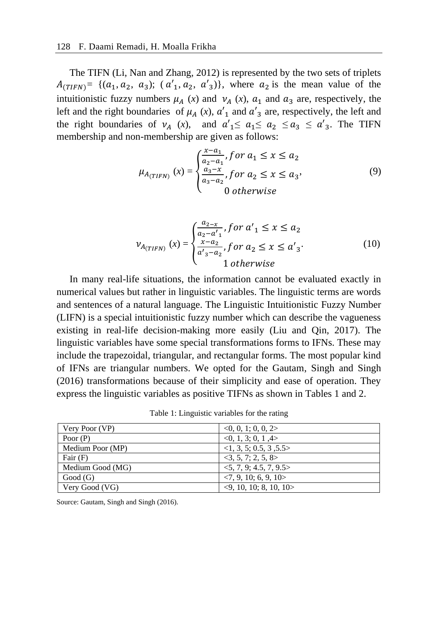The TIFN (Li, Nan and Zhang, 2012) is represented by the two sets of triplets  $A_{(TIFN)} = \{(a_1, a_2, a_3); (a'_1, a_2, a'_3)\}$ , where  $a_2$  is the mean value of the intuitionistic fuzzy numbers  $\mu_A(x)$  and  $\nu_A(x)$ ,  $a_1$  and  $a_3$  are, respectively, the left and the right boundaries of  $\mu_A(x)$ ,  $\alpha'_1$  and  $\alpha'_3$  are, respectively, the left and the right boundaries of  $v_4$  (*x*), and  $a'_1 \le a_1 \le a_2 \le a_3 \le a'_3$ . The TIFN membership and non-membership are given as follows:

$$
\mu_{A_{(TIFN)}} (x) = \begin{cases} \frac{x - a_1}{a_2 - a_1}, \text{for } a_1 \le x \le a_2\\ \frac{a_3 - x}{a_3 - a_2}, \text{for } a_2 \le x \le a_3\\ 0 \text{ otherwise} \end{cases}
$$
(9)

$$
\nu_{A_{(TIFN)}} (x) = \begin{cases} \frac{a_{2-x}}{a_{2}-a'_{1}}, \text{for } a'_{1} \le x \le a_{2} \\ \frac{x-a_{2}}{a'_{3}-a_{2}}, \text{for } a_{2} \le x \le a'_{3} \\ 1 \text{ otherwise} \end{cases}
$$
(10)

In many real-life situations, the information cannot be evaluated exactly in numerical values but rather in linguistic variables. The linguistic terms are words and sentences of a natural language. The Linguistic Intuitionistic Fuzzy Number (LIFN) is a special intuitionistic fuzzy number which can describe the vagueness existing in real-life decision-making more easily (Liu and Qin, 2017). The linguistic variables have some special transformations forms to IFNs. These may include the trapezoidal, triangular, and rectangular forms. The most popular kind of IFNs are triangular numbers. We opted for the Gautam, Singh and Singh (2016) transformations because of their simplicity and ease of operation. They express the linguistic variables as positive TIFNs as shown in Tables 1 and 2.

| Very Poor (VP)   | <0, 0, 1; 0, 0, 2>                     |
|------------------|----------------------------------------|
| Poor $(P)$       | <0, 1, 3; 0, 1, 4>                     |
| Medium Poor (MP) | <1, 3, 5; 0.5, 3, 5.5>                 |
| Fair $(F)$       | 3, 5, 7, 2, 5, 8                       |
| Medium Good (MG) | $\langle 5, 7, 9; 4.5, 7, 9.5 \rangle$ |
| Good(G)          | $\langle 7, 9, 10; 6, 9, 10 \rangle$   |
| Very Good (VG)   | $\langle 9, 10, 10; 8, 10, 10 \rangle$ |

Source: Gautam, Singh and Singh (2016).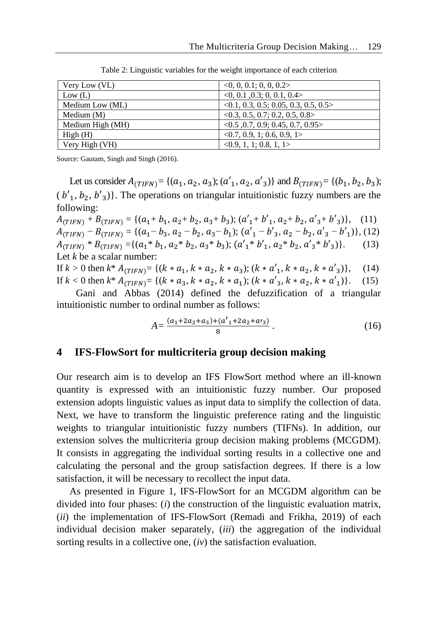| Very Low (VL)    | <0, 0, 0.1; 0, 0, 0.2>                     |
|------------------|--------------------------------------------|
| Low (L)          | $<0$ , 0.1, 0.3; 0, 0.1, 0.4 $>$           |
| Medium Low (ML)  | <0.1, 0.3, 0.5, 0.05, 0.3, 0.5, 0.5>       |
| Medium $(M)$     | $<$ 0.3, 0.5, 0.7; 0.2, 0.5, 0.8 $>$       |
| Medium High (MH) | $<0.5$ , 0.7, 0.9; 0.45, 0.7, 0.95>        |
| High(H)          | $\langle 0.7, 0.9, 1; 0.6, 0.9, 1 \rangle$ |
| Very High (VH)   | <0.9, 1, 1; 0.8, 1, 1>                     |

Table 2: Linguistic variables for the weight importance of each criterion

Source: Gautam, Singh and Singh (2016).

Let us consider  $A_{(TIFN)} = \{(a_1, a_2, a_3); (a'_1, a_2, a'_3)\}$  and  $B_{(TIFN)} = \{(b_1, b_2, b_3);$  $(b'_1, b_2, b'_3)$ . The operations on triangular intuitionistic fuzzy numbers are the following:

 $A_{(TIFN)} + B_{(TIFN)} = \{(a_1 + b_1, a_2 + b_2, a_3 + b_3); (a'_1 + b'_1, a_2 + b_2, a'_3 + b'_3)\},$  (11)  $A_{(TIFN)} - B_{(TIFN)} = \{(a_1 - b_3, a_2 - b_2, a_3 - b_1); (a'_1 - b'_3, a_2 - b_2, a'_3 - b'_1)\}, (12)$  $A_{(TIFN)} * B_{(TIFN)} = \{(a_1 * b_1, a_2 * b_2, a_3 * b_3); (a'_1 * b'_1, a_2 * b_2, a'_3 * b'_3)\}.$  (13) Let *k* be a scalar number:

If  $k > 0$  then  $k^* A_{(TIFN)} = \{(k * a_1, k * a_2, k * a_3); (k * a'_1, k * a_2, k * a'_3)\},$  (14) If  $k < 0$  then  $k^* A_{(TIFN)} = \{(k * a_3, k * a_2, k * a_1); (k * a'_3, k * a_2, k * a'_1)\}.$  (15)

Gani and Abbas (2014) defined the defuzzification of a triangular intuitionistic number to ordinal number as follows:

$$
A = \frac{(a_1 + 2a_2 + a_3) + (a'_1 + 2a_2 + a'_3)}{8} \,. \tag{16}
$$

#### **4 IFS-FlowSort for multicriteria group decision making**

Our research aim is to develop an IFS FlowSort method where an ill-known quantity is expressed with an intuitionistic fuzzy number. Our proposed extension adopts linguistic values as input data to simplify the collection of data. Next, we have to transform the linguistic preference rating and the linguistic weights to triangular intuitionistic fuzzy numbers (TIFNs). In addition, our extension solves the multicriteria group decision making problems (MCGDM). It consists in aggregating the individual sorting results in a collective one and calculating the personal and the group satisfaction degrees. If there is a low satisfaction, it will be necessary to recollect the input data.

As presented in Figure 1, IFS-FlowSort for an MCGDM algorithm can be divided into four phases: (*i*) the construction of the linguistic evaluation matrix, (*ii*) the implementation of IFS-FlowSort (Remadi and Frikha, 2019) of each individual decision maker separately, (*iii*) the aggregation of the individual sorting results in a collective one, (*iv*) the satisfaction evaluation.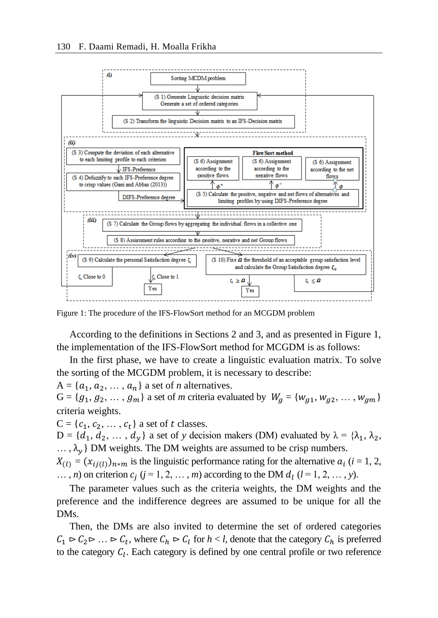

Figure 1: The procedure of the IFS-FlowSort method for an MCGDM problem

According to the definitions in Sections 2 and 3, and as presented in Figure 1, the implementation of the IFS-FlowSort method for MCGDM is as follows:

In the first phase, we have to create a linguistic evaluation matrix. To solve the sorting of the MCGDM problem, it is necessary to describe:

 $A = \{a_1, a_2, \dots, a_n\}$  a set of *n* alternatives.

 $G = \{g_1, g_2, \dots, g_m\}$  a set of *m* criteria evaluated by  $W_a = \{w_{a1}, w_{a2}, \dots, w_{am}\}$ criteria weights.

 $C = \{c_1, c_2, \ldots, c_t\}$  a set of t classes.

 $D = \{d_1, d_2, ..., d_\nu\}$  a set of *y* decision makers (DM) evaluated by  $\lambda = \{\lambda_1, \lambda_2,$  $\ldots$ ,  $\lambda_{\nu}$  DM weights. The DM weights are assumed to be crisp numbers.

 $X_{(l)} = (x_{ij(l)})_{n \times m}$  is the linguistic performance rating for the alternative  $a_i$  (*i* = 1, 2,  $\ldots$ , *n*) on criterion  $c_j$  ( $j = 1, 2, \ldots, m$ ) according to the DM  $d_l$  ( $l = 1, 2, \ldots, y$ ).

The parameter values such as the criteria weights, the DM weights and the preference and the indifference degrees are assumed to be unique for all the DMs.

Then, the DMs are also invited to determine the set of ordered categories  $C_1 \triangleright C_2 \triangleright ... \triangleright C_t$ , where  $C_h \triangleright C_l$  for  $h < l$ , denote that the category  $C_h$  is preferred to the category  $C_l$ . Each category is defined by one central profile or two reference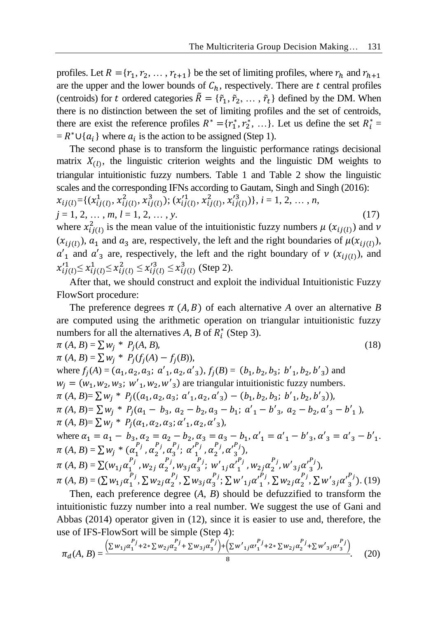profiles. Let  $R = \{r_1, r_2, \dots, r_{t+1}\}\$  be the set of limiting profiles, where  $r_h$  and  $r_{h+1}$ are the upper and the lower bounds of  $C_h$ , respectively. There are t central profiles (centroids) for t ordered categories  $\tilde{R} = \{\tilde{r}_1, \tilde{r}_2, \dots, \tilde{r}_t\}$  defined by the DM. When there is no distinction between the set of limiting profiles and the set of centroids, there are exist the reference profiles  $R^* = \{r_1^*, r_2^*, \dots\}$ . Let us define the set  $R_i^* =$  $= R^* \cup \{a_i\}$  where  $a_i$  is the action to be assigned (Step 1).

The second phase is to transform the linguistic performance ratings decisional matrix  $X_{(l)}$ , the linguistic criterion weights and the linguistic DM weights to triangular intuitionistic fuzzy numbers. Table 1 and Table 2 show the linguistic scales and the corresponding IFNs according to Gautam, Singh and Singh (2016):

$$
x_{ij(l)} = \{(x_{ij(l)}^1, x_{ij(l)}^2, x_{ij(l)}^3); (x_{ij(l)}'^1, x_{ij(l)}'^3, x_{ij(l)}'^3)\}, i = 1, 2, ..., n,
$$
  
\n
$$
j = 1, 2, ..., m, l = 1, 2, ..., y.
$$
 (17)  
\nwhere  $x_{ij(l)}^2$  is the mean value of the intuitionistic fuzzy numbers  $\mu(x_{ij(l)})$  and  $\nu$ 

 $(x_{ij(l)})$ ,  $a_1$  and  $a_3$  are, respectively, the left and the right boundaries of  $\mu(x_{ij(l)})$ ,  $a'_{1}$  and  $a'_{3}$  are, respectively, the left and the right boundary of  $v(x_{ij(l)})$ , and  $x_{ij(l)}^{11} \le x_{ij(l)}^1 \le x_{ij(l)}^2 \le x_{ij(l)}^{13} \le x_{ij(l)}^3$  (Step 2).

After that, we should construct and exploit the individual Intuitionistic Fuzzy FlowSort procedure:

The preference degrees  $\pi(A, B)$  of each alternative *A* over an alternative *B* are computed using the arithmetic operation on triangular intuitionistic fuzzy numbers for all the alternatives  $A$ ,  $B$  of  $R_i^*$  (Step 3).

$$
\pi(A, B) = \sum w_j * P_j(A, B),
$$
\n
$$
\pi(A, B) = \sum w_j * P_j(f_j(A) - f_j(B)),
$$
\nwhere  $f_j(A) = (a_1, a_2, a_3; a'_1, a_2, a'_3), f_j(B) = (b_1, b_2, b_3; b'_1, b_2, b'_3)$  and  
\n
$$
w_j = (w_1, w_2, w_3; w'_1, w_2, w'_3)
$$
 are triangular intuitionistic fuzzy numbers.  
\n
$$
\pi(A, B) = \sum w_j * P_j((a_1, a_2, a_3; a'_1, a_2, a'_3) - (b_1, b_2, b_3; b'_1, b_2, b'_3)),
$$
\n
$$
\pi(A, B) = \sum w_j * P_j(a_1 - b_3, a_2 - b_2, a_3 - b_1; a'_1 - b'_3, a_2 - b_2, a'_3 - b'_1),
$$
\n
$$
\pi(A, B) = \sum w_j * P_j(\alpha_1, \alpha_2, \alpha_3; \alpha'_1, \alpha_2, \alpha'_3),
$$
\nwhere  $\alpha_1 = a_1 - b_3, \alpha_2 = a_2 - b_2, \alpha_3 = a_3 - b_1, \alpha'_1 = a'_1 - b'_3, \alpha'_3 = a'_3 - b'_1.$   
\n
$$
\pi(A, B) = \sum w_j * (a_1^{p_j}, a_2^{p_j}, a_3^{p_j}; a'_1^{p_j}, a_2^{p_j}, a'_3^{p_j}),
$$
\n
$$
\pi(A, B) = \sum (w_{1j} a_1^{p_j}, w_{2j} a_2^{p_j}, w_{3j} a_3^{p_j}; w'_1 a_1^{p_j}, w_{2j} a_2^{p_j}, w'_3 a_3^{p_j}),
$$
\n
$$
\pi(A, B) = (\sum w_{1j} a_1^{p_j}, \sum w_{2j} a_2^{p_j}, \sum w_{3j} a_3^{p_j}; \sum w'_1 a_1^{p_j}, \sum w_{2j} a_2^{p_j}, \sum w'_3 a_3^{p_j}).
$$
\n(19)

Then, each preference degree (*A*, *B*) should be defuzzified to transform the intuitionistic fuzzy number into a real number. We suggest the use of Gani and Abbas (2014) operator given in (12), since it is easier to use and, therefore, the use of IFS-FlowSort will be simple (Step 4):

$$
\pi_d(A, B) = \frac{\left(\sum w_{1j}\alpha_1^{P_j} + 2 \cdot \sum w_{2j}\alpha_2^{P_j} + \sum w_{3j}\alpha_3^{P_j}\right) + \left(\sum w_{1j}\alpha_1^{P_j} + 2 \cdot \sum w_{2j}\alpha_2^{P_j} + \sum w_{3j}\alpha_3^{P_j}\right)}{8}.
$$
 (20)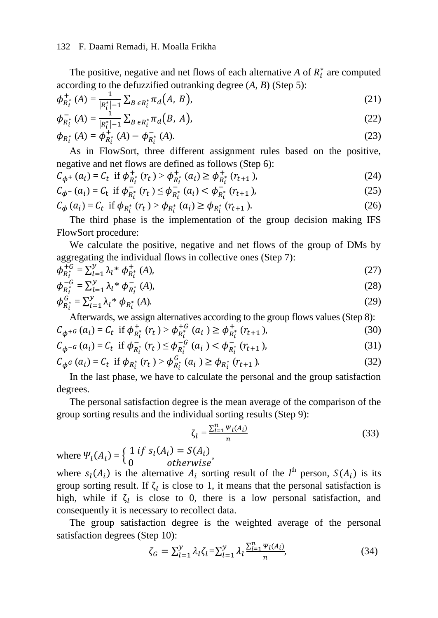The positive, negative and net flows of each alternative  $A$  of  $R_i^*$  are computed according to the defuzzified outranking degree (*A*, *B*) (Step 5):

$$
\phi_{R_i^*}^+(A) = \frac{1}{|R_i^*| - 1} \sum_{B \in R_i^*} \pi_d(A, B), \tag{21}
$$

$$
\phi_{R_i^*}^-(A) = \frac{1}{|R_i^*| - 1} \sum_{B \in R_i^*} \pi_d(B, A), \tag{22}
$$

$$
\phi_{R_t^*}(A) = \phi_{R_t^*}^+(A) - \phi_{R_t^*}^-(A). \tag{23}
$$

As in FlowSort, three different assignment rules based on the positive, negative and net flows are defined as follows (Step 6):

$$
C_{\phi^+}(a_i) = C_t \text{ if } \phi_{R_t^*}^+(r_t) > \phi_{R_t^*}^+(a_i) \ge \phi_{R_t^*}^+(r_{t+1}), \tag{24}
$$

$$
C_{\phi^{-}}(a_i) = C_t \text{ if } \phi_{R_t^*}^{-}(r_t) \le \phi_{R_t^*}^{-}(a_i) < \phi_{R_t^*}^{-}(r_{t+1}), \tag{25}
$$

$$
C_{\phi}(a_i) = C_t \text{ if } \phi_{R_t^*}(r_t) > \phi_{R_t^*}(a_i) \ge \phi_{R_t^*}(r_{t+1}).
$$
\n(26)

The third phase is the implementation of the group decision making IFS FlowSort procedure:

We calculate the positive, negative and net flows of the group of DMs by aggregating the individual flows in collective ones (Step 7):

$$
\phi_{R_i^*}^{+G} = \sum_{l=1}^{\mathcal{Y}} \lambda_l^* \phi_{R_i^*}^{+}(A),\tag{27}
$$

$$
\phi_{R_i^*}^{-G} = \sum_{l=1}^{\mathcal{Y}} \lambda_l^* \phi_{R_i^*}^{-}(A),\tag{28}
$$

$$
\phi_{R_t^*}^G = \sum_{l=1}^{\mathcal{Y}} \lambda_l^* \phi_{R_t^*}(A). \tag{29}
$$

Afterwards, we assign alternatives according to the group flows values (Step 8):  $C_{\phi^{+G}}(a_i) = C_t$  if  $\phi_{R_i^*}^+(r_t) > \phi_{R_i^*}^{+G}(a_i) \ge \phi_{R_i^*}^+(r_{t+1}),$  (30)

$$
C_{\phi^{-G}}(a_i) = C_t \text{ if } \phi_{R_i^*}^{-\epsilon}(r_t) \le \phi_{R_i^*}^{-\epsilon}(a_i) < \phi_{R_i^*}^{-\epsilon}(r_{t+1}), \tag{31}
$$

$$
C_{\phi^G}(a_i) = C_t \text{ if } \phi_{R_i^*}(r_t) > \phi_{R_i^*}^G(a_i) \ge \phi_{R_i^*}(r_{t+1}).
$$
\n(32)

In the last phase, we have to calculate the personal and the group satisfaction degrees.

The personal satisfaction degree is the mean average of the comparison of the group sorting results and the individual sorting results (Step 9):

$$
\zeta_l = \frac{\sum_{i=1}^n \Psi_l(A_i)}{n} \tag{33}
$$

where  $\Psi_l(A_i) = \begin{cases} 1 & \text{if } s_l(A_i) = S(A_i) \\ 0 & \text{otherwise} \end{cases}$  $\frac{1}{1}$   $\frac{1}{1}$   $\frac{1}{2}$   $\frac{1}{1}$   $\frac{1}{2}$   $\frac{1}{1}$   $\frac{1}{2}$   $\frac{1}{2}$   $\frac{1}{2}$   $\frac{1}{2}$   $\frac{1}{2}$   $\frac{1}{2}$   $\frac{1}{2}$   $\frac{1}{2}$   $\frac{1}{2}$   $\frac{1}{2}$   $\frac{1}{2}$   $\frac{1}{2}$   $\frac{1}{2}$   $\frac{1}{2}$   $\frac{1}{2}$   $\frac{1}{2}$ 

where  $s_l(A_i)$  is the alternative  $A_i$  sorting result of the  $l^{\text{th}}$  person,  $S(A_i)$  is its group sorting result. If  $\zeta_l$  is close to 1, it means that the personal satisfaction is high, while if  $\zeta_l$  is close to 0, there is a low personal satisfaction, and consequently it is necessary to recollect data.

The group satisfaction degree is the weighted average of the personal satisfaction degrees (Step 10):

$$
\zeta_G = \sum_{l=1}^{y} \lambda_l \zeta_l = \sum_{l=1}^{y} \lambda_l \frac{\sum_{i=1}^{n} \Psi_l(A_i)}{n},\tag{34}
$$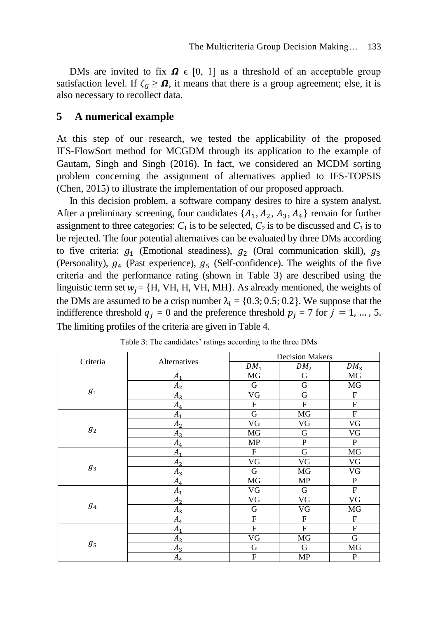DMs are invited to fix  $\Omega \in [0, 1]$  as a threshold of an acceptable group satisfaction level. If  $\zeta_c \geq \Omega$ , it means that there is a group agreement; else, it is also necessary to recollect data.

### **5 A numerical example**

At this step of our research, we tested the applicability of the proposed IFS-FlowSort method for MCGDM through its application to the example of Gautam, Singh and Singh (2016). In fact, we considered an MCDM sorting problem concerning the assignment of alternatives applied to IFS-TOPSIS (Chen, 2015) to illustrate the implementation of our proposed approach.

In this decision problem, a software company desires to hire a system analyst. After a preliminary screening, four candidates  $\{A_1, A_2, A_3, A_4\}$  remain for further assignment to three categories:  $C_1$  is to be selected,  $C_2$  is to be discussed and  $C_3$  is to be rejected. The four potential alternatives can be evaluated by three DMs according to five criteria:  $g_1$  (Emotional steadiness),  $g_2$  (Oral communication skill),  $g_3$ (Personality),  $g_4$  (Past experience),  $g_5$  (Self-confidence). The weights of the five criteria and the performance rating (shown in Table 3) are described using the linguistic term set  $w_j = \{H, VH, H, VH, MH\}$ . As already mentioned, the weights of the DMs are assumed to be a crisp number  $\lambda_1 = \{0.3; 0.5; 0.2\}$ . We suppose that the indifference threshold  $q_i = 0$  and the preference threshold  $p_i = 7$  for  $j = 1, ..., 5$ . The limiting profiles of the criteria are given in Table 4.

| Criteria | Alternatives   |                         | <b>Decision Makers</b> |                        |  |  |
|----------|----------------|-------------------------|------------------------|------------------------|--|--|
|          |                | $DM_1$                  | DM <sub>2</sub>        | DM <sub>3</sub>        |  |  |
|          | $A_{1}$        | MG                      | G                      | МG                     |  |  |
| $g_{1}$  | A <sub>2</sub> | G                       | $\mathbf G$            | MG                     |  |  |
|          | $A_3$          | VG                      | G                      | F                      |  |  |
|          | $A_4$          | $\mathbf F$             | F                      | F                      |  |  |
|          | A <sub>1</sub> | $\overline{\mathrm{G}}$ | $\rm MG$               | ${\rm F}$              |  |  |
| $g_2$    | A <sub>2</sub> | $\overline{\text{VG}}$  | VG                     | $\overline{\text{VG}}$ |  |  |
|          | $A_3$          | MG                      | G                      | VG                     |  |  |
|          | $A_4$          | MP                      | P                      | $\mathbf{P}$           |  |  |
|          | A <sub>1</sub> | $_{\rm F}$              | $\mathbf G$            | MG                     |  |  |
|          | A <sub>2</sub> | VG                      | VG                     | VG                     |  |  |
| $g_3$    | $A_3$          | G                       | MG                     | VG                     |  |  |
|          | $A_4$          | MG                      | MP                     | $\mathbf{P}$           |  |  |
|          | $A_1$          | VG                      | ${\bf G}$              | $\overline{F}$         |  |  |
|          | A <sub>2</sub> | VG                      | VG                     | VG                     |  |  |
| $g_4$    | $A_3$          | G                       | VG                     | MG                     |  |  |
|          | $A_4$          | F                       | F                      | F                      |  |  |
|          | A <sub>1</sub> | $\mathbf F$             | F                      | $\mathbf F$            |  |  |
|          | A <sub>2</sub> | VG                      | MG                     | $\mathbf G$            |  |  |
| $g_5$    | $A_3$          | G                       | G                      | MG                     |  |  |
|          | $A_4$          | F                       | MP                     | $\mathbf{P}$           |  |  |

Table 3: The candidates' ratings according to the three DMs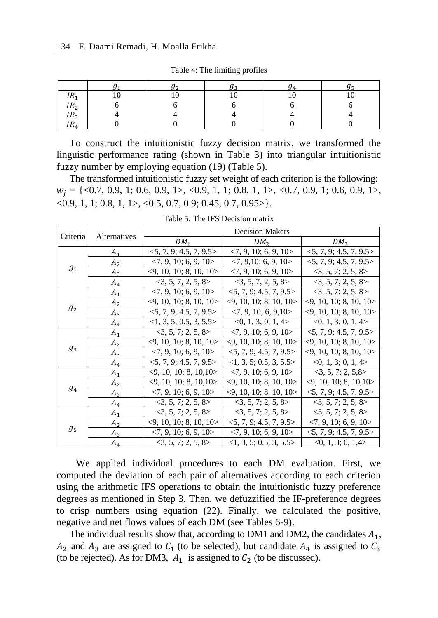|                 | ັ  | ັ              | 94 | ັບ |
|-----------------|----|----------------|----|----|
| IR <sub>1</sub> | 10 | $\overline{ }$ |    | 10 |
| IR <sub>2</sub> |    |                |    |    |
| IR <sub>3</sub> |    |                |    |    |
| IR <sub>4</sub> |    |                |    |    |

Table 4: The limiting profiles

To construct the intuitionistic fuzzy decision matrix, we transformed the linguistic performance rating (shown in Table 3) into triangular intuitionistic fuzzy number by employing equation (19) (Table 5).

The transformed intuitionistic fuzzy set weight of each criterion is the following:  $W_i = \{<0.7, 0.9, 1; 0.6, 0.9, 1>, <0.9, 1, 1; 0.8, 1, 1, <0.7, 0.9, 1; 0.6, 0.9, 1, \}$  $\langle 0.9, 1, 1; 0.8, 1, 1 \rangle, \langle 0.5, 0.7, 0.9; 0.45, 0.7, 0.95 \rangle.$ 

| Criteria      | Alternatives   |                                        | <b>Decision Makers</b>                 |                                        |
|---------------|----------------|----------------------------------------|----------------------------------------|----------------------------------------|
|               |                | DM <sub>1</sub>                        | DM <sub>2</sub>                        | DM <sub>3</sub>                        |
|               | $A_1$          | $<$ 5, 7, 9; 4.5, 7, 9.5 >             | $\langle 7, 9, 10; 6, 9, 10 \rangle$   | $<$ 5, 7, 9; 4.5, 7, 9.5 >             |
| $g_{\tiny 1}$ | A <sub>2</sub> | $\langle 7, 9, 10; 6, 9, 10 \rangle$   | $\langle 7, 9, 10; 6, 9, 10 \rangle$   | $<$ 5, 7, 9; 4.5, 7, 9.5 >             |
|               | $A_3$          | $\langle 9, 10, 10; 8, 10, 10 \rangle$ | $\langle 7, 9, 10; 6, 9, 10 \rangle$   | 3, 5, 7; 2, 5, 8>                      |
|               | $A_4$          | $<$ 3, 5, 7; 2, 5, 8>                  | 3, 5, 7, 2, 5, 8>                      | 3, 5, 7, 2, 5, 8                       |
|               | $A_1$          | $\langle 7, 9, 10; 6, 9, 10 \rangle$   | <5, 7, 9; 4.5, 7, 9.5>                 | 3, 5, 7; 2, 5, 8>                      |
|               | A <sub>2</sub> | $\langle 9, 10, 10; 8, 10, 10 \rangle$ | $\langle 9, 10, 10; 8, 10, 10 \rangle$ | $\langle 9, 10, 10; 8, 10, 10 \rangle$ |
| $g_2$         | $A_3$          | $<$ 5, 7, 9; 4.5, 7, 9.5 >             | $\langle 7, 9, 10; 6, 9, 10 \rangle$   | $\langle 9, 10, 10; 8, 10, 10 \rangle$ |
|               | $A_4$          | <1, 3, 5; 0.5, 3, 5.5>                 | <0, 1, 3; 0, 1, 4>                     | <0, 1, 3; 0, 1, 4>                     |
|               | A <sub>1</sub> | 3, 5, 7, 2, 5, 8                       | $\langle 7, 9, 10; 6, 9, 10 \rangle$   | $<$ 5, 7, 9; 4.5, 7, 9.5 >             |
|               | A <sub>2</sub> | $\langle 9, 10, 10; 8, 10, 10 \rangle$ | $\langle 9, 10, 10, 8, 10, 10 \rangle$ | $\langle 9, 10, 10; 8, 10, 10 \rangle$ |
| $g_3$         | $A_3$          | $\langle 7, 9, 10; 6, 9, 10 \rangle$   | 5, 7, 9, 4.5, 7, 9.5                   | $\langle 9, 10, 10; 8, 10, 10 \rangle$ |
|               | $A_4$          | $<$ 5, 7, 9; 4.5, 7, 9.5 >             | <1, 3, 5; 0.5, 3, 5.5>                 | <0, 1, 3; 0, 1, 4>                     |
|               | $A_1$          | $\langle 9, 10, 10; 8, 10, 10 \rangle$ | $\langle 7, 9, 10; 6, 9, 10 \rangle$   | 3, 5, 7; 2, 5, 8>                      |
|               | A <sub>2</sub> | $\langle 9, 10, 10; 8, 10, 10 \rangle$ | $\langle 9, 10, 10; 8, 10, 10 \rangle$ | $\langle 9, 10, 10; 8, 10, 10 \rangle$ |
| $g_{4}$       | $A_3$          | $\langle 7, 9, 10; 6, 9, 10 \rangle$   | $\langle 9, 10, 10; 8, 10, 10 \rangle$ | $<$ 5, 7, 9; 4.5, 7, 9.5 >             |
|               | $A_4$          | 3, 5, 7, 2, 5, 8                       | 3, 5, 7, 2, 5, 8>                      | 3, 5, 7, 2, 5, 8                       |
|               | $A_1$          | 3, 5, 7; 2, 5, 8>                      | 3, 5, 7; 2, 5, 8>                      | 3, 5, 7; 2, 5, 8>                      |
|               | A <sub>2</sub> | $\langle 9, 10, 10, 8, 10, 10 \rangle$ | $<$ 5, 7, 9; 4.5, 7, 9.5 >             | $<$ 7, 9, 10; 6, 9, 10>                |
| $g_5$         | $A_3$          | $\langle 7, 9, 10; 6, 9, 10 \rangle$   | $\langle 7, 9, 10; 6, 9, 10 \rangle$   | $<$ 5, 7, 9; 4.5, 7, 9.5 >             |
|               | $A_4$          | 3, 5, 7, 2, 5, 8                       | <1, 3, 5; 0.5, 3, 5.5>                 | <0, 1, 3; 0, 1, 4>                     |

Table 5: The IFS Decision matrix

We applied individual procedures to each DM evaluation. First, we computed the deviation of each pair of alternatives according to each criterion using the arithmetic IFS operations to obtain the intuitionistic fuzzy preference degrees as mentioned in Step 3. Then, we defuzzified the IF-preference degrees to crisp numbers using equation (22). Finally, we calculated the positive, negative and net flows values of each DM (see Tables 6-9).

The individual results show that, according to DM1 and DM2, the candidates  $A_1$ ,  $A_2$  and  $A_3$  are assigned to  $C_1$  (to be selected), but candidate  $A_4$  is assigned to  $C_3$ (to be rejected). As for DM3,  $A_1$  is assigned to  $C_2$  (to be discussed).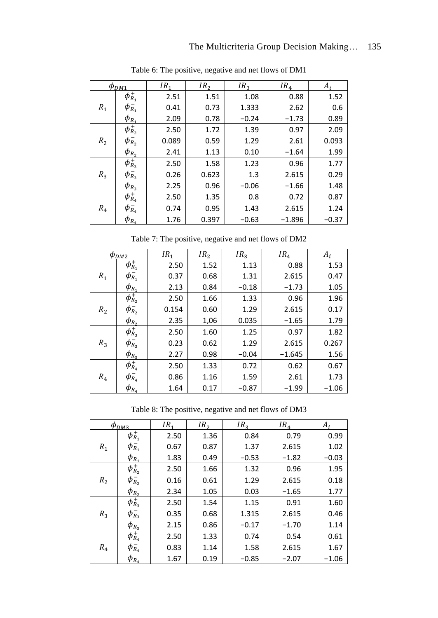|       | $\phi_{DM1}$                      | IR <sub>1</sub> | IR <sub>2</sub> | IR <sub>3</sub> | IR <sub>4</sub> | $A_i$   |
|-------|-----------------------------------|-----------------|-----------------|-----------------|-----------------|---------|
|       | $\phi_{R_1}^+$                    | 2.51            | 1.51            | 1.08            | 0.88            | 1.52    |
| $R_1$ | $\phi_{R_1}^-$                    | 0.41            | 0.73            | 1.333           | 2.62            | 0.6     |
|       | $\phi_{R_1}$                      | 2.09            | 0.78            | $-0.24$         | $-1.73$         | 0.89    |
|       | $\phi_{\scriptscriptstyle R_2}^+$ | 2.50            | 1.72            | 1.39            | 0.97            | 2.09    |
| $R_2$ | $\phi_{R_2}^-$                    | 0.089           | 0.59            | 1.29            | 2.61            | 0.093   |
|       | $\phi_{R_2}$                      | 2.41            | 1.13            | 0.10            | $-1.64$         | 1.99    |
|       | $\phi_{R_3}^+$                    | 2.50            | 1.58            | 1.23            | 0.96            | 1.77    |
| $R_3$ | $\phi_{R_3}^-$                    | 0.26            | 0.623           | 1.3             | 2.615           | 0.29    |
|       | $\phi_{R_3}$                      | 2.25            | 0.96            | $-0.06$         | $-1.66$         | 1.48    |
| $R_4$ | $\phi_{R_4}^+$                    | 2.50            | 1.35            | 0.8             | 0.72            | 0.87    |
|       | $\phi_{R_4}^-$                    | 0.74            | 0.95            | 1.43            | 2.615           | 1.24    |
|       | $\phi_{R_{4}}$                    | 1.76            | 0.397           | $-0.63$         | $-1.896$        | $-0.37$ |

Table 6: The positive, negative and net flows of DM1

Table 7: The positive, negative and net flows of DM2

|       | $\phi_{DM2}$       | IR <sub>1</sub> | IR <sub>2</sub> | IR <sub>2</sub> | IR <sub>4</sub> | $A_i$   |
|-------|--------------------|-----------------|-----------------|-----------------|-----------------|---------|
| $R_1$ | $\phi_{R_1}^+$     | 2.50            | 1.52            | 1.13            | 0.88            | 1.53    |
|       | $\phi_{R_1}^-$     | 0.37            | 0.68            | 1.31            | 2.615           | 0.47    |
|       | $\phi_{R_{1}}$     | 2.13            | 0.84            | $-0.18$         | $-1.73$         | 1.05    |
|       | $\phi_{R_2}^{\mp}$ | 2.50            | 1.66            | 1.33            | 0.96            | 1.96    |
| $R_2$ | $\phi_{R_2}^-$     | 0.154           | 0.60            | 1.29            | 2.615           | 0.17    |
|       | $\phi_{R_2}$       | 2.35            | 1,06            | 0.035           | $-1.65$         | 1.79    |
| $R_3$ | $\phi_{R_3}^+$     | 2.50            | 1.60            | 1.25            | 0.97            | 1.82    |
|       | $\phi_{R_3}^-$     | 0.23            | 0.62            | 1.29            | 2.615           | 0.267   |
|       | $\phi_{R_3}$       | 2.27            | 0.98            | $-0.04$         | $-1.645$        | 1.56    |
| $R_4$ | $\phi_{R_4}^+$     | 2.50            | 1.33            | 0.72            | 0.62            | 0.67    |
|       | $\phi_{R_4}^-$     | 0.86            | 1.16            | 1.59            | 2.61            | 1.73    |
|       | $\phi_{R_{4}}$     | 1.64            | 0.17            | $-0.87$         | $-1.99$         | $-1.06$ |

Table 8: The positive, negative and net flows of DM3

|       | $\phi_{DM3}$                      | IR <sub>1</sub> | IR <sub>2</sub> | IR <sub>2</sub> | IR <sub>4</sub> | $A_i$   |
|-------|-----------------------------------|-----------------|-----------------|-----------------|-----------------|---------|
|       | $\phi_{\scriptscriptstyle R_1}^+$ | 2.50            | 1.36            | 0.84            | 0.79            | 0.99    |
| $R_1$ | $\phi_{R_1}^-$                    | 0.67            | 0.87            | 1.37            | 2.615           | 1.02    |
|       | $\phi_{R_1}$                      | 1.83            | 0.49            | $-0.53$         | $-1.82$         | $-0.03$ |
|       | $\phi_{R_2}^+$                    | 2.50            | 1.66            | 1.32            | 0.96            | 1.95    |
| $R_2$ | $\phi_{R_2}^-$                    | 0.16            | 0.61            | 1.29            | 2.615           | 0.18    |
|       | $\phi_{R_2}$                      | 2.34            | 1.05            | 0.03            | $-1.65$         | 1.77    |
| $R_3$ | $\phi_{R_3}^+$                    | 2.50            | 1.54            | 1.15            | 0.91            | 1.60    |
|       | $\phi_{R_3}^-$                    | 0.35            | 0.68            | 1.315           | 2.615           | 0.46    |
|       | $\phi_{R_3}$                      | 2.15            | 0.86            | $-0.17$         | $-1.70$         | 1.14    |
| $R_4$ | $\phi_{R_{4}}^{+}$                | 2.50            | 1.33            | 0.74            | 0.54            | 0.61    |
|       | $\phi_{R_4}^-$                    | 0.83            | 1.14            | 1.58            | 2.615           | 1.67    |
|       | $\varphi_{R_{4}}$                 | 1.67            | 0.19            | $-0.85$         | $-2.07$         | $-1.06$ |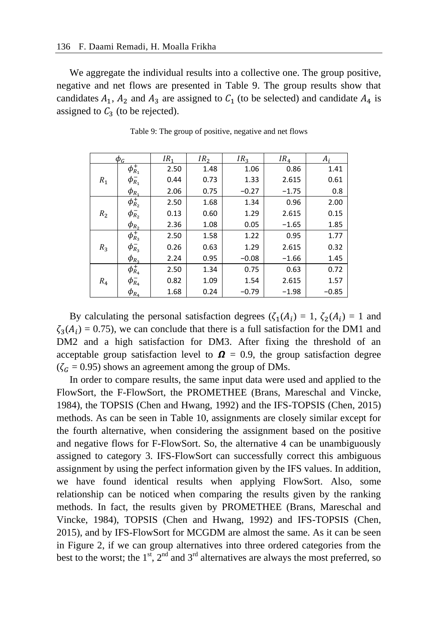We aggregate the individual results into a collective one. The group positive, negative and net flows are presented in Table 9. The group results show that candidates  $A_1$ ,  $A_2$  and  $A_3$  are assigned to  $C_1$  (to be selected) and candidate  $A_4$  is assigned to  $C_3$  (to be rejected).

|       | $\phi_G$                      | IR <sub>1</sub> | IR <sub>2</sub> | IR <sub>2</sub> | IR <sub>4</sub> | A,      |
|-------|-------------------------------|-----------------|-----------------|-----------------|-----------------|---------|
| $R_1$ | $\phi_{R_1}^+$                | 2.50            | 1.48            | 1.06            | 0.86            | 1.41    |
|       | $\phi_{R_1}^-$                | 0.44            | 0.73            | 1.33            | 2.615           | 0.61    |
|       | $\phi_{R_1}$                  | 2.06            | 0.75            | $-0.27$         | $-1.75$         | 0.8     |
|       | $\phi_{R_2}^+$                | 2.50            | 1.68            | 1.34            | 0.96            | 2.00    |
| $R_2$ | $\phi_{R_2}^-$                | 0.13            | 0.60            | 1.29            | 2.615           | 0.15    |
|       | $\phi_{R_2}$                  | 2.36            | 1.08            | 0.05            | $-1.65$         | 1.85    |
| $R_3$ | $\phi_{R_3}^+$                | 2.50            | 1.58            | 1.22            | 0.95            | 1.77    |
|       | $\phi_{R_3}^-$                | 0.26            | 0.63            | 1.29            | 2.615           | 0.32    |
|       | $\phi_{R_3}$                  | 2.24            | 0.95            | $-0.08$         | $-1.66$         | 1.45    |
| $R_4$ | $\overline{\phi_{R_{4}}^{+}}$ | 2.50            | 1.34            | 0.75            | 0.63            | 0.72    |
|       | $\phi_{R_{4}}^{-}$            | 0.82            | 1.09            | 1.54            | 2.615           | 1.57    |
|       | $\varphi_{R_{4}}$             | 1.68            | 0.24            | $-0.79$         | $-1.98$         | $-0.85$ |

Table 9: The group of positive, negative and net flows

By calculating the personal satisfaction degrees  $(\zeta_1(A_i) = 1, \zeta_2(A_i) = 1$  and  $\zeta_3(A_i) = 0.75$ , we can conclude that there is a full satisfaction for the DM1 and DM2 and a high satisfaction for DM3. After fixing the threshold of an acceptable group satisfaction level to  $\Omega = 0.9$ , the group satisfaction degree  $(\zeta_G = 0.95)$  shows an agreement among the group of DMs.

In order to compare results, the same input data were used and applied to the FlowSort, the F-FlowSort, the PROMETHEE (Brans, Mareschal and Vincke, 1984), the TOPSIS (Chen and Hwang, 1992) and the IFS-TOPSIS (Chen, 2015) methods. As can be seen in Table 10, assignments are closely similar except for the fourth alternative, when considering the assignment based on the positive and negative flows for F-FlowSort. So, the alternative 4 can be unambiguously assigned to category 3. IFS-FlowSort can successfully correct this ambiguous assignment by using the perfect information given by the IFS values. In addition, we have found identical results when applying FlowSort. Also, some relationship can be noticed when comparing the results given by the ranking methods. In fact, the results given by PROMETHEE (Brans, Mareschal and Vincke, 1984), TOPSIS (Chen and Hwang, 1992) and IFS-TOPSIS (Chen, 2015), and by IFS-FlowSort for MCGDM are almost the same. As it can be seen in Figure 2, if we can group alternatives into three ordered categories from the best to the worst; the  $1<sup>st</sup>$ ,  $2<sup>nd</sup>$  and  $3<sup>rd</sup>$  alternatives are always the most preferred, so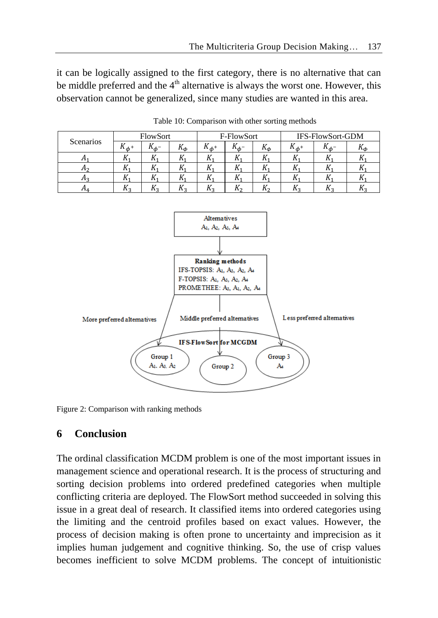it can be logically assigned to the first category, there is no alternative that can be middle preferred and the  $4<sup>th</sup>$  alternative is always the worst one. However, this observation cannot be generalized, since many studies are wanted in this area.

| Scenarios      | FlowSort     |   | F-FlowSort |                    |                  | IFS-FlowSort-GDM |                  |              |                     |
|----------------|--------------|---|------------|--------------------|------------------|------------------|------------------|--------------|---------------------|
|                | $K_{\phi^+}$ | ռ | $K_{\Phi}$ | $\Lambda_{\phi^+}$ | $\Lambda_{ab}$ - | $K_{\phi}$       | $\Lambda_{ab}$ + | $\mathbf{u}$ | $\mathbf{u}_{\Phi}$ |
| л1             | 114          |   |            |                    |                  | 41.              |                  |              |                     |
| Лo             | 114          |   |            |                    | 111              | 17               |                  |              |                     |
| H <sub>2</sub> | 114          |   |            |                    | 111              | $\mathbf{u}$     |                  |              |                     |
| $n_4$          | Λo           |   |            | 775                | $\mathbf{v}$     | $K_{2}$          |                  |              | .,                  |

Table 10: Comparison with other sorting methods



Figure 2: Comparison with ranking methods

# **6 Conclusion**

The ordinal classification MCDM problem is one of the most important issues in management science and operational research. It is the process of structuring and sorting decision problems into ordered predefined categories when multiple conflicting criteria are deployed. The FlowSort method succeeded in solving this issue in a great deal of research. It classified items into ordered categories using the limiting and the centroid profiles based on exact values. However, the process of decision making is often prone to uncertainty and imprecision as it implies human judgement and cognitive thinking. So, the use of crisp values becomes inefficient to solve MCDM problems. The concept of intuitionistic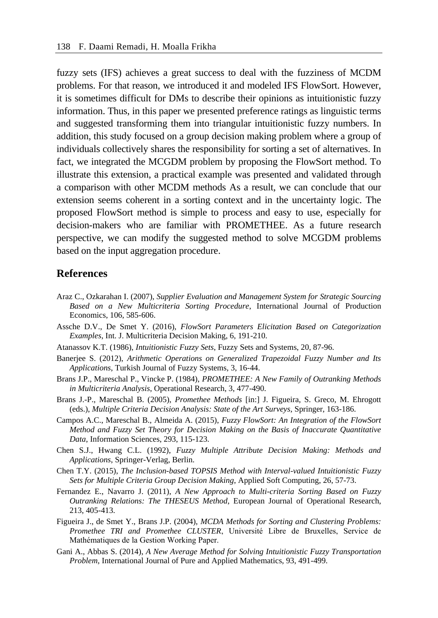fuzzy sets (IFS) achieves a great success to deal with the fuzziness of MCDM problems. For that reason, we introduced it and modeled IFS FlowSort. However, it is sometimes difficult for DMs to describe their opinions as intuitionistic fuzzy information. Thus, in this paper we presented preference ratings as linguistic terms and suggested transforming them into triangular intuitionistic fuzzy numbers. In addition, this study focused on a group decision making problem where a group of individuals collectively shares the responsibility for sorting a set of alternatives. In fact, we integrated the MCGDM problem by proposing the FlowSort method. To illustrate this extension, a practical example was presented and validated through a comparison with other MCDM methods As a result, we can conclude that our extension seems coherent in a sorting context and in the uncertainty logic. The proposed FlowSort method is simple to process and easy to use, especially for decision-makers who are familiar with PROMETHEE. As a future research perspective, we can modify the suggested method to solve MCGDM problems based on the input aggregation procedure.

### **References**

- Araz C., Ozkarahan I. (2007), *Supplier Evaluation and Management System for Strategic Sourcing Based on a New Multicriteria Sorting Procedure*, International Journal of Production Economics, 106, 585-606.
- Assche D.V., De Smet Y. (2016), *FlowSort Parameters Elicitation Based on Categorization Examples*, Int. J. Multicriteria Decision Making, 6, 191-210.
- Atanassov K.T. (1986), *Intuitionistic Fuzzy Sets*, Fuzzy Sets and Systems, 20, 87-96.
- Banerjee S. (2012), *Arithmetic Operations on Generalized Trapezoidal Fuzzy Number and Its Applications*, Turkish Journal of Fuzzy Systems, 3, 16-44.
- Brans J.P., Mareschal P., Vincke P. (1984), *PROMETHEE: A New Family of Outranking Methods in Multicriteria Analysis*, Operational Research, 3, 477-490.
- Brans J.-P., Mareschal B. (2005), *Promethee Methods* [in:] J. Figueira, S. Greco, M. Ehrogott (eds.), *Multiple Criteria Decision Analysis: State of the Art Surveys*, Springer, 163-186.
- Campos A.C., Mareschal B., Almeida A. (2015), *Fuzzy FlowSort: An Integration of the FlowSort Method and Fuzzy Set Theory for Decision Making on the Basis of Inaccurate Quantitative Data*, Information Sciences, 293, 115-123.
- Chen S.J., Hwang C.L. (1992), *Fuzzy Multiple Attribute Decision Making: Methods and Applications*, Springer-Verlag, Berlin.
- Chen T.Y. (2015), *The Inclusion-based TOPSIS Method with Interval-valued Intuitionistic Fuzzy Sets for Multiple Criteria Group Decision Making*, Applied Soft Computing, 26, 57-73.
- Fernandez E., Navarro J. (2011), *A New Approach to Multi-criteria Sorting Based on Fuzzy Outranking Relations: The THESEUS Method*, European Journal of Operational Research, 213, 405-413.
- Figueira J., de Smet Y., Brans J.P. (2004), *MCDA Methods for Sorting and Clustering Problems: Promethee TRI and Promethee CLUSTER*, Université Libre de Bruxelles, Service de Mathématiques de la Gestion Working Paper.
- Gani A., Abbas S. (2014), *A New Average Method for Solving Intuitionistic Fuzzy Transportation Problem*, International Journal of Pure and Applied Mathematics, 93, 491-499.